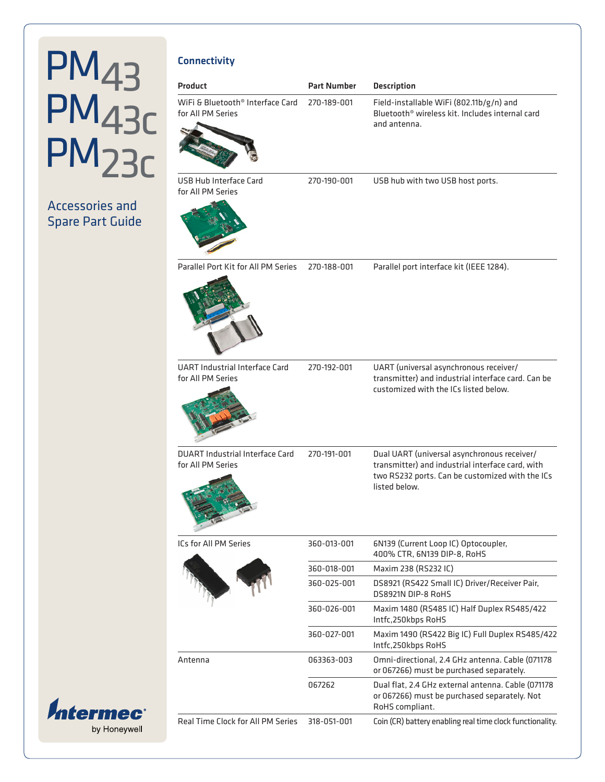### Accessories and Spare Part Guide

| <b>Connectivity</b>                                               |                    |                                                                                                                                                                     |
|-------------------------------------------------------------------|--------------------|---------------------------------------------------------------------------------------------------------------------------------------------------------------------|
| Product                                                           | <b>Part Number</b> | <b>Description</b>                                                                                                                                                  |
| WiFi & Bluetooth <sup>®</sup> Interface Card<br>for All PM Series | 270-189-001        | Field-installable WiFi (802.11b/g/n) and<br>Bluetooth <sup>®</sup> wireless kit. Includes internal card<br>and antenna.                                             |
|                                                                   |                    |                                                                                                                                                                     |
| USB Hub Interface Card<br>for All PM Series                       | 270-190-001        | USB hub with two USB host ports.                                                                                                                                    |
|                                                                   |                    |                                                                                                                                                                     |
| Parallel Port Kit for All PM Series                               | 270-188-001        | Parallel port interface kit (IEEE 1284).                                                                                                                            |
| <b>UART Industrial Interface Card</b><br>for All PM Series        | 270-192-001        | UART (universal asynchronous receiver/<br>transmitter) and industrial interface card. Can be<br>customized with the ICs listed below.                               |
| <b>DUART Industrial Interface Card</b><br>for All PM Series       | 270-191-001        | Dual UART (universal asynchronous receiver/<br>transmitter) and industrial interface card, with<br>two RS232 ports. Can be customized with the ICs<br>listed below. |
| ICs for All PM Series                                             | 360-013-001        | 6N139 (Current Loop IC) Optocoupler,<br>400% CTR, 6N139 DIP-8, RoHS                                                                                                 |
|                                                                   | 360-018-001        | Maxim 238 (RS232 IC)                                                                                                                                                |
|                                                                   | 360-025-001        | DS8921 (RS422 Small IC) Driver/Receiver Pair,<br>DS8921N DIP-8 RoHS                                                                                                 |
|                                                                   | 360-026-001        | Maxim 1480 (RS485 IC) Half Duplex RS485/422<br>Intfc,250kbps RoHS                                                                                                   |
|                                                                   | 360-027-001        | Maxim 1490 (RS422 Big IC) Full Duplex RS485/422<br>Intfc,250kbps RoHS                                                                                               |
| Antenna                                                           | 063363-003         | Omni-directional, 2.4 GHz antenna. Cable (071178<br>or 067266) must be purchased separately.                                                                        |
|                                                                   | 067262             | Dual flat, 2.4 GHz external antenna. Cable (071178<br>or 067266) must be purchased separately. Not<br>RoHS compliant.                                               |
| Real Time Clock for All PM Series                                 | 318-051-001        | Coin (CR) battery enabling real time clock functionality.                                                                                                           |

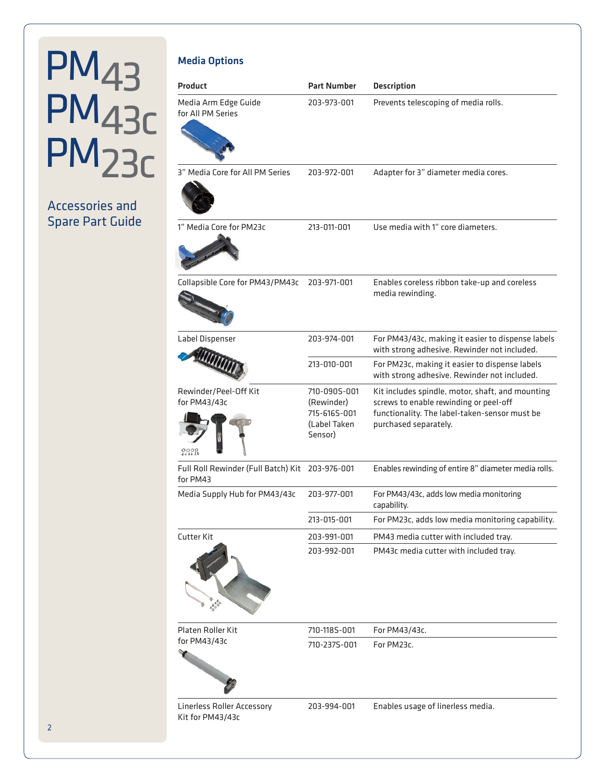### Accessories and Spare Part Guide

| <b>Media Options</b>                                        |                                                                       |                                                                                                                                                                      |
|-------------------------------------------------------------|-----------------------------------------------------------------------|----------------------------------------------------------------------------------------------------------------------------------------------------------------------|
| <b>Product</b>                                              | <b>Part Number</b>                                                    | <b>Description</b>                                                                                                                                                   |
| Media Arm Edge Guide<br>for All PM Series                   | 203-973-001                                                           | Prevents telescoping of media rolls.                                                                                                                                 |
| 3" Media Core for All PM Series                             | 203-972-001                                                           | Adapter for 3" diameter media cores.                                                                                                                                 |
| 1" Media Core for PM23c                                     | 213-011-001                                                           | Use media with 1" core diameters.                                                                                                                                    |
| Collapsible Core for PM43/PM43c                             | 203-971-001                                                           | Enables coreless ribbon take-up and coreless<br>media rewinding.                                                                                                     |
| Label Dispenser                                             | 203-974-001                                                           | For PM43/43c, making it easier to dispense labels<br>with strong adhesive. Rewinder not included.                                                                    |
| <b><i><u>AUTHORITA</u></i></b>                              | 213-010-001                                                           | For PM23c, making it easier to dispense labels<br>with strong adhesive. Rewinder not included.                                                                       |
| Rewinder/Peel-Off Kit<br>for PM43/43c                       | 710-090S-001<br>(Rewinder)<br>715-616S-001<br>(Label Taken<br>Sensor) | Kit includes spindle, motor, shaft, and mounting<br>screws to enable rewinding or peel-off<br>functionality. The label-taken-sensor must be<br>purchased separately. |
| Full Roll Rewinder (Full Batch) Kit 203-976-001<br>for PM43 |                                                                       | Enables rewinding of entire 8" diameter media rolls.                                                                                                                 |
| Media Supply Hub for PM43/43c                               | 203-977-001                                                           | For PM43/43c, adds low media monitoring<br>capability.                                                                                                               |
|                                                             | 213-015-001                                                           | For PM23c, adds low media monitoring capability.                                                                                                                     |
| Cutter Kit                                                  | 203-991-001                                                           | PM43 media cutter with included tray.                                                                                                                                |
|                                                             | 203-992-001                                                           | PM43c media cutter with included tray.                                                                                                                               |
| Platen Roller Kit                                           | 710-118S-001                                                          | For PM43/43c.                                                                                                                                                        |
| for PM43/43c                                                | 710-237S-001                                                          | For PM23c.                                                                                                                                                           |
| <b>Linerless Roller Accessory</b><br>Kit for PM43/43c       | 203-994-001                                                           | Enables usage of linerless media.                                                                                                                                    |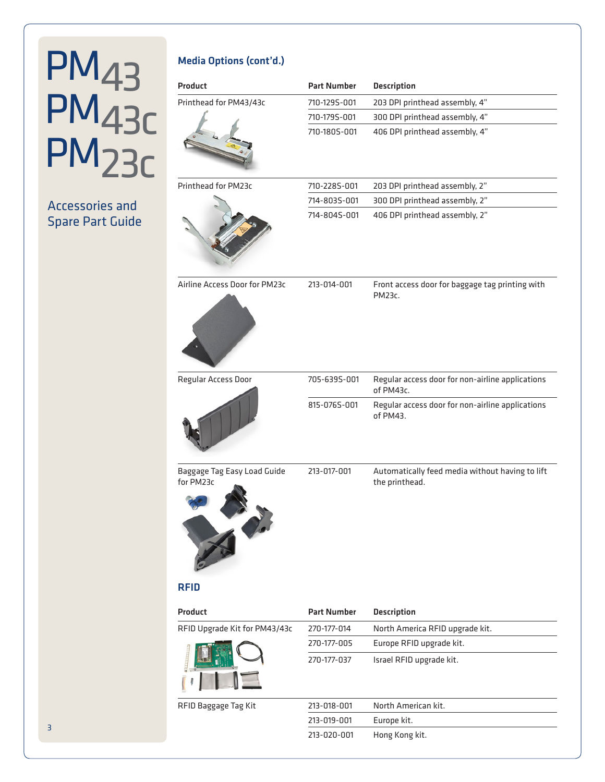### Accessories and Spare Part Guide

#### Media Options (cont'd.)

| <b>Product</b>                                 | <b>Part Number</b> | <b>Description</b>                                                |
|------------------------------------------------|--------------------|-------------------------------------------------------------------|
| Printhead for PM43/43c                         | 710-129S-001       | 203 DPI printhead assembly, 4"                                    |
|                                                | 710-179S-001       | 300 DPI printhead assembly, 4"                                    |
|                                                | 710-180S-001       | 406 DPI printhead assembly, 4"                                    |
| Printhead for PM23c                            | 710-2285-001       | 203 DPI printhead assembly, 2"                                    |
|                                                | 714-803S-001       | 300 DPI printhead assembly, 2"                                    |
|                                                | 714-804S-001       | 406 DPI printhead assembly, 2"                                    |
| Airline Access Door for PM23c                  | 213-014-001        | Front access door for baggage tag printing with<br>PM23c.         |
| Regular Access Door                            | 705-6395-001       | Regular access door for non-airline applications<br>of PM43c.     |
|                                                | 815-076S-001       | Regular access door for non-airline applications<br>of PM43.      |
| Baggage Tag Easy Load Guide<br>for PM23c<br>Vo | 213-017-001        | Automatically feed media without having to lift<br>the printhead. |
| <b>RFID</b>                                    |                    |                                                                   |
| Product                                        | <b>Part Number</b> | <b>Description</b>                                                |
| RFID Upgrade Kit for PM43/43c                  | 270-177-014        | North America RFID upgrade kit.                                   |
|                                                | 270-177-005        | Europe RFID upgrade kit.                                          |
|                                                | 270-177-037        | Israel RFID upgrade kit.                                          |
| RFID Baggage Tag Kit                           | 213-018-001        | North American kit.                                               |
|                                                | 213-019-001        | Europe kit.                                                       |
|                                                | 213-020-001        | Hong Kong kit.                                                    |